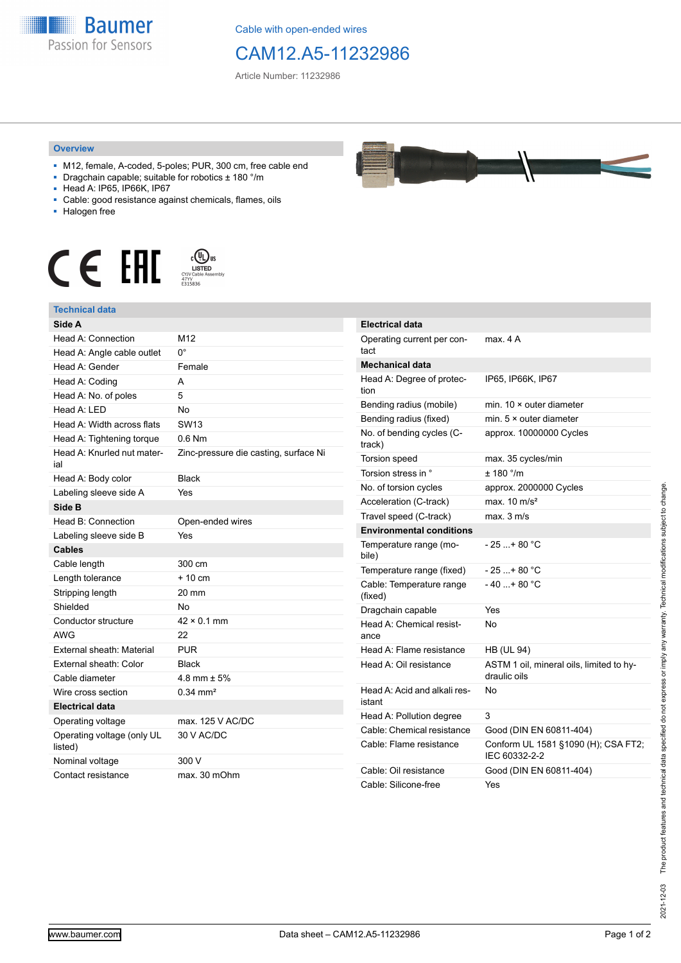

Cable with open-ended wires

## CAM12.A5-11232986

Article Number: 11232986

## **Overview**

- M12, female, A-coded, 5-poles; PUR, 300 cm, free cable end
- Dragchain capable; suitable for robotics ± 180 °/m
- Head A: IP65, IP66K, IP67
- Cable: good resistance against chemicals, flames, oils
- Halogen free



## **Technical data**

| Side A                                |                                       |
|---------------------------------------|---------------------------------------|
| Head A: Connection                    | M <sub>12</sub>                       |
| Head A: Angle cable outlet            | 0°                                    |
| Head A: Gender                        | Female                                |
| Head A: Coding                        | A                                     |
| Head A: No. of poles                  | 5                                     |
| Head A: LED                           | <b>No</b>                             |
| Head A: Width across flats            | SW <sub>13</sub>                      |
| Head A: Tightening torque             | $0.6$ Nm                              |
| Head A: Knurled nut mater-<br>ial     | Zinc-pressure die casting, surface Ni |
| Head A: Body color                    | <b>Black</b>                          |
| Labeling sleeve side A                | Yes                                   |
| Side B                                |                                       |
| Head B: Connection                    | Open-ended wires                      |
| Labeling sleeve side B                | Yes                                   |
| <b>Cables</b>                         |                                       |
| Cable length                          | 300 cm                                |
| Length tolerance                      | $+10cm$                               |
| Stripping length                      | 20 mm                                 |
| Shielded                              | No                                    |
| Conductor structure                   | $42 \times 0.1$ mm                    |
| <b>AWG</b>                            | 22                                    |
| External sheath: Material             | <b>PUR</b>                            |
| External sheath: Color                | <b>Black</b>                          |
| Cable diameter                        | 4.8 mm $\pm$ 5%                       |
| Wire cross section                    | $0.34 \, \text{mm}^2$                 |
| <b>Electrical data</b>                |                                       |
| Operating voltage                     | max, 125 V AC/DC                      |
| Operating voltage (only UL<br>listed) | 30 V AC/DC                            |
| Nominal voltage                       | 300 V                                 |
| Contact resistance                    | max. 30 mOhm                          |



| <b>Electrical data</b>                 |                                                          |
|----------------------------------------|----------------------------------------------------------|
| Operating current per con-<br>tact     | max. 4 A                                                 |
| Mechanical data                        |                                                          |
| Head A: Degree of protec-<br>tion      | IP65, IP66K, IP67                                        |
| Bending radius (mobile)                | min. $10 \times$ outer diameter                          |
| Bending radius (fixed)                 | min. $5 \times$ outer diameter                           |
| No. of bending cycles (C-<br>track)    | approx. 10000000 Cycles                                  |
| <b>Torsion speed</b>                   | max. 35 cycles/min                                       |
| Torsion stress in °                    | ± 180 °/m                                                |
| No. of torsion cycles                  | approx. 2000000 Cycles                                   |
| Acceleration (C-track)                 | max. $10 \text{ m/s}^2$                                  |
| Travel speed (C-track)                 | max. 3 m/s                                               |
| <b>Environmental conditions</b>        |                                                          |
| Temperature range (mo-<br>bile)        | $-25+80 °C$                                              |
| Temperature range (fixed)              | - 25 + 80 °C                                             |
| Cable: Temperature range<br>(fixed)    | $-40+80 °C$                                              |
| Dragchain capable                      | Yes                                                      |
| Head A: Chemical resist-<br>ance       | No                                                       |
| Head A: Flame resistance               | HB (UL 94)                                               |
| Head A: Oil resistance                 | ASTM 1 oil, mineral oils, limited to hy-<br>draulic oils |
| Head A: Acid and alkali res-<br>istant | No                                                       |
| Head A: Pollution degree               | 3                                                        |
| Cable: Chemical resistance             | Good (DIN EN 60811-404)                                  |
| Cable: Flame resistance                | Conform UL 1581 §1090 (H); CSA FT2;<br>IEC 60332-2-2     |
| Cable: Oil resistance                  | Good (DIN EN 60811-404)                                  |
| Cable: Silicone-free                   | Yes                                                      |